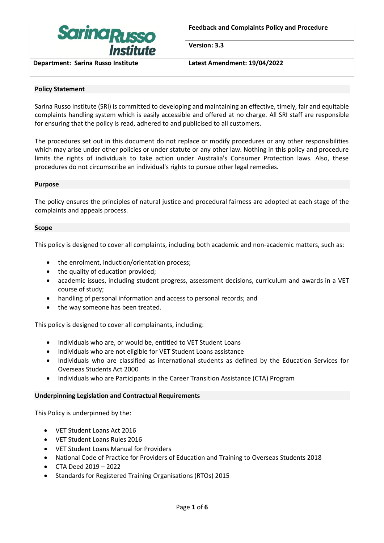

**Version: 3.3**

**Department: Sarina Russo Institute Latest Amendment: 19/04/2022**

## **Policy Statement**

Sarina Russo Institute (SRI) is committed to developing and maintaining an effective, timely, fair and equitable complaints handling system which is easily accessible and offered at no charge. All SRI staff are responsible for ensuring that the policy is read, adhered to and publicised to all customers.

The procedures set out in this document do not replace or modify procedures or any other responsibilities which may arise under other policies or under statute or any other law. Nothing in this policy and procedure limits the rights of individuals to take action under Australia's Consumer Protection laws. Also, these procedures do not circumscribe an individual's rights to pursue other legal remedies.

#### **Purpose**

The policy ensures the principles of natural justice and procedural fairness are adopted at each stage of the complaints and appeals process.

#### **Scope**

This policy is designed to cover all complaints, including both academic and non-academic matters, such as:

- the enrolment, induction/orientation process;
- the quality of education provided;
- academic issues, including student progress, assessment decisions, curriculum and awards in a VET course of study;
- handling of personal information and access to personal records; and
- the way someone has been treated.

This policy is designed to cover all complainants, including:

- Individuals who are, or would be, entitled to VET Student Loans
- Individuals who are not eligible for VET Student Loans assistance
- Individuals who are classified as international students as defined by the Education Services for Overseas Students Act 2000
- Individuals who are Participants in the Career Transition Assistance (CTA) Program

#### **Underpinning Legislation and Contractual Requirements**

This Policy is underpinned by the:

- VET Student Loans Act 2016
- VET Student Loans Rules 2016
- VET Student Loans Manual for Providers
- National Code of Practice for Providers of Education and Training to Overseas Students 2018
- CTA Deed 2019 2022
- Standards for Registered Training Organisations (RTOs) 2015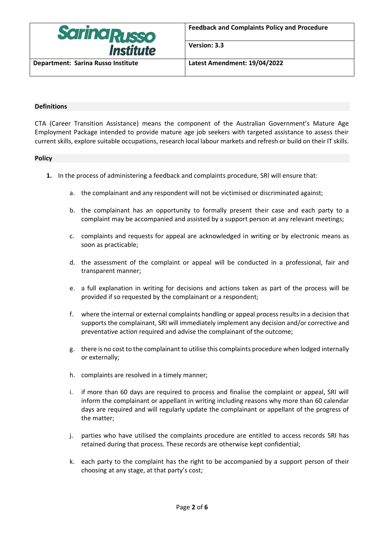

**Version: 3.3**

**Department: Sarina Russo Institute Latest Amendment: 19/04/2022**

## **Definitions**

CTA (Career Transition Assistance) means the component of the Australian Government's Mature Age Employment Package intended to provide mature age job seekers with targeted assistance to assess their current skills, explore suitable occupations, research local labour markets and refresh or build on their IT skills.

## **Policy**

- **1.** In the process of administering a feedback and complaints procedure, SRI will ensure that:
	- a. the complainant and any respondent will not be victimised or discriminated against;
	- b. the complainant has an opportunity to formally present their case and each party to a complaint may be accompanied and assisted by a support person at any relevant meetings;
	- c. complaints and requests for appeal are acknowledged in writing or by electronic means as soon as practicable;
	- d. the assessment of the complaint or appeal will be conducted in a professional, fair and transparent manner;
	- e. a full explanation in writing for decisions and actions taken as part of the process will be provided if so requested by the complainant or a respondent;
	- f. where the internal or external complaints handling or appeal process results in a decision that supports the complainant, SRI will immediately implement any decision and/or corrective and preventative action required and advise the complainant of the outcome;
	- g. there is no cost to the complainant to utilise this complaints procedure when lodged internally or externally;
	- h. complaints are resolved in a timely manner;
	- i. if more than 60 days are required to process and finalise the complaint or appeal, SRI will inform the complainant or appellant in writing including reasons why more than 60 calendar days are required and will regularly update the complainant or appellant of the progress of the matter;
	- j. parties who have utilised the complaints procedure are entitled to access records SRI has retained during that process. These records are otherwise kept confidential;
	- k. each party to the complaint has the right to be accompanied by a support person of their choosing at any stage, at that party's cost;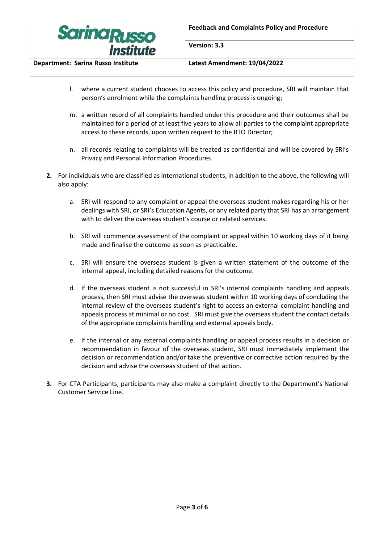

**Version: 3.3**

**Department: Sarina Russo Institute Latest Amendment: 19/04/2022**

- l. where a current student chooses to access this policy and procedure, SRI will maintain that person's enrolment while the complaints handling process is ongoing;
- m. a written record of all complaints handled under this procedure and their outcomes shall be maintained for a period of at least five years to allow all parties to the complaint appropriate access to these records, upon written request to the RTO Director;
- n. all records relating to complaints will be treated as confidential and will be covered by SRI's Privacy and Personal Information Procedures.
- **2.** For individuals who are classified as international students, in addition to the above, the following will also apply:
	- a. SRI will respond to any complaint or appeal the overseas student makes regarding his or her dealings with SRI, or SRI's Education Agents, or any related party that SRI has an arrangement with to deliver the overseas student's course or related services.
	- b. SRI will commence assessment of the complaint or appeal within 10 working days of it being made and finalise the outcome as soon as practicable.
	- c. SRI will ensure the overseas student is given a written statement of the outcome of the internal appeal, including detailed reasons for the outcome.
	- d. If the overseas student is not successful in SRI's internal complaints handling and appeals process, then SRI must advise the overseas student within 10 working days of concluding the internal review of the overseas student's right to access an external complaint handling and appeals process at minimal or no cost. SRI must give the overseas student the contact details of the appropriate complaints handling and external appeals body.
	- e. If the internal or any external complaints handling or appeal process results in a decision or recommendation in favour of the overseas student, SRI must immediately implement the decision or recommendation and/or take the preventive or corrective action required by the decision and advise the overseas student of that action.
- **3.** For CTA Participants, participants may also make a complaint directly to the Department's National Customer Service Line.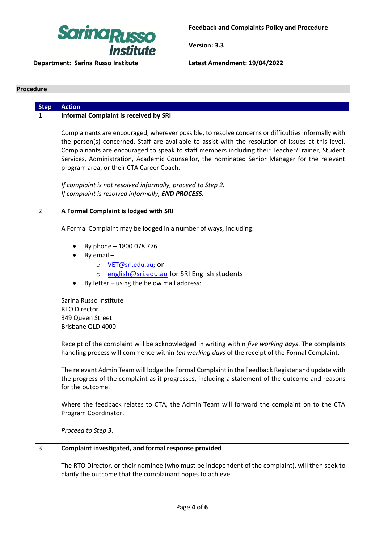

**Version: 3.3**

## **Procedure**

| <b>Step</b>    | <b>Action</b>                                                                                                                                                                                                                                                                                                                                                                                                                                                                                                                                                                |
|----------------|------------------------------------------------------------------------------------------------------------------------------------------------------------------------------------------------------------------------------------------------------------------------------------------------------------------------------------------------------------------------------------------------------------------------------------------------------------------------------------------------------------------------------------------------------------------------------|
| $\mathbf{1}$   | <b>Informal Complaint is received by SRI</b>                                                                                                                                                                                                                                                                                                                                                                                                                                                                                                                                 |
|                | Complainants are encouraged, wherever possible, to resolve concerns or difficulties informally with<br>the person(s) concerned. Staff are available to assist with the resolution of issues at this level.<br>Complainants are encouraged to speak to staff members including their Teacher/Trainer, Student<br>Services, Administration, Academic Counsellor, the nominated Senior Manager for the relevant<br>program area, or their CTA Career Coach.<br>If complaint is not resolved informally, proceed to Step 2.<br>If complaint is resolved informally, END PROCESS. |
| $\overline{2}$ | A Formal Complaint is lodged with SRI                                                                                                                                                                                                                                                                                                                                                                                                                                                                                                                                        |
|                | A Formal Complaint may be lodged in a number of ways, including:                                                                                                                                                                                                                                                                                                                                                                                                                                                                                                             |
|                | By phone - 1800 078 776<br>By email $-$                                                                                                                                                                                                                                                                                                                                                                                                                                                                                                                                      |
|                | VET@sri.edu.au; or<br>$\circ$                                                                                                                                                                                                                                                                                                                                                                                                                                                                                                                                                |
|                | english@sri.edu.au for SRI English students<br>$\circ$                                                                                                                                                                                                                                                                                                                                                                                                                                                                                                                       |
|                | By letter - using the below mail address:                                                                                                                                                                                                                                                                                                                                                                                                                                                                                                                                    |
|                | Sarina Russo Institute<br><b>RTO Director</b><br>349 Queen Street                                                                                                                                                                                                                                                                                                                                                                                                                                                                                                            |
|                | Brisbane QLD 4000                                                                                                                                                                                                                                                                                                                                                                                                                                                                                                                                                            |
|                | Receipt of the complaint will be acknowledged in writing within five working days. The complaints<br>handling process will commence within ten working days of the receipt of the Formal Complaint.                                                                                                                                                                                                                                                                                                                                                                          |
|                | The relevant Admin Team will lodge the Formal Complaint in the Feedback Register and update with<br>the progress of the complaint as it progresses, including a statement of the outcome and reasons<br>for the outcome.                                                                                                                                                                                                                                                                                                                                                     |
|                | Where the feedback relates to CTA, the Admin Team will forward the complaint on to the CTA<br>Program Coordinator.                                                                                                                                                                                                                                                                                                                                                                                                                                                           |
|                | Proceed to Step 3.                                                                                                                                                                                                                                                                                                                                                                                                                                                                                                                                                           |
| 3              | Complaint investigated, and formal response provided                                                                                                                                                                                                                                                                                                                                                                                                                                                                                                                         |
|                | The RTO Director, or their nominee (who must be independent of the complaint), will then seek to<br>clarify the outcome that the complainant hopes to achieve.                                                                                                                                                                                                                                                                                                                                                                                                               |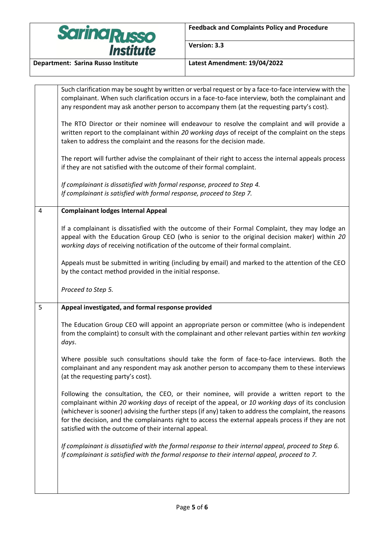

**Version: 3.3**

|   | Such clarification may be sought by written or verbal request or by a face-to-face interview with the<br>complainant. When such clarification occurs in a face-to-face interview, both the complainant and<br>any respondent may ask another person to accompany them (at the requesting party's cost).                                                                                                                                                                  |
|---|--------------------------------------------------------------------------------------------------------------------------------------------------------------------------------------------------------------------------------------------------------------------------------------------------------------------------------------------------------------------------------------------------------------------------------------------------------------------------|
|   | The RTO Director or their nominee will endeavour to resolve the complaint and will provide a<br>written report to the complainant within 20 working days of receipt of the complaint on the steps<br>taken to address the complaint and the reasons for the decision made.                                                                                                                                                                                               |
|   | The report will further advise the complainant of their right to access the internal appeals process<br>if they are not satisfied with the outcome of their formal complaint.                                                                                                                                                                                                                                                                                            |
|   | If complainant is dissatisfied with formal response, proceed to Step 4.<br>If complainant is satisfied with formal response, proceed to Step 7.                                                                                                                                                                                                                                                                                                                          |
| 4 | <b>Complainant lodges Internal Appeal</b>                                                                                                                                                                                                                                                                                                                                                                                                                                |
|   | If a complainant is dissatisfied with the outcome of their Formal Complaint, they may lodge an<br>appeal with the Education Group CEO (who is senior to the original decision maker) within 20<br>working days of receiving notification of the outcome of their formal complaint.                                                                                                                                                                                       |
|   | Appeals must be submitted in writing (including by email) and marked to the attention of the CEO<br>by the contact method provided in the initial response.                                                                                                                                                                                                                                                                                                              |
|   |                                                                                                                                                                                                                                                                                                                                                                                                                                                                          |
|   | Proceed to Step 5.                                                                                                                                                                                                                                                                                                                                                                                                                                                       |
| 5 | Appeal investigated, and formal response provided                                                                                                                                                                                                                                                                                                                                                                                                                        |
|   | The Education Group CEO will appoint an appropriate person or committee (who is independent<br>from the complaint) to consult with the complainant and other relevant parties within ten working<br>days.                                                                                                                                                                                                                                                                |
|   | Where possible such consultations should take the form of face-to-face interviews. Both the<br>complainant and any respondent may ask another person to accompany them to these interviews<br>(at the requesting party's cost).                                                                                                                                                                                                                                          |
|   | Following the consultation, the CEO, or their nominee, will provide a written report to the<br>complainant within 20 working days of receipt of the appeal, or 10 working days of its conclusion<br>(whichever is sooner) advising the further steps (if any) taken to address the complaint, the reasons<br>for the decision, and the complainants right to access the external appeals process if they are not<br>satisfied with the outcome of their internal appeal. |
|   | If complainant is dissatisfied with the formal response to their internal appeal, proceed to Step 6.<br>If complainant is satisfied with the formal response to their internal appeal, proceed to 7.                                                                                                                                                                                                                                                                     |